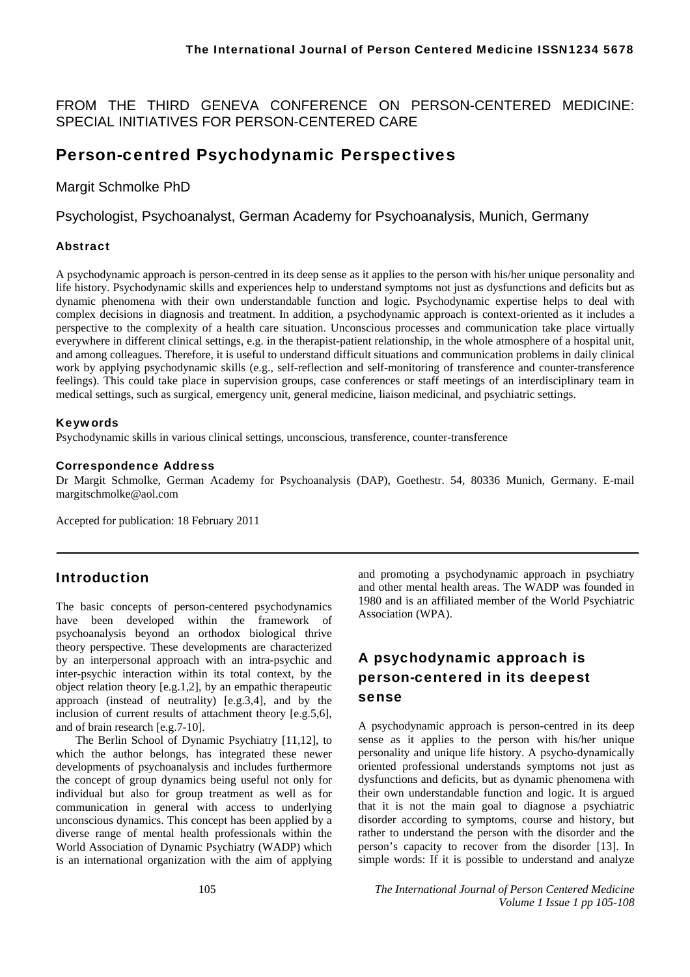FROM THE THIRD GENEVA CONFERENCE ON PERSON-CENTERED MEDICINE: SPECIAL INITIATIVES FOR PERSON-CENTERED CARE

## Person-centred Psychodynamic Perspectives

Margit Schmolke PhD

Psychologist, Psychoanalyst, German Academy for Psychoanalysis, Munich, Germany

### Abstract

A psychodynamic approach is person-centred in its deep sense as it applies to the person with his/her unique personality and life history. Psychodynamic skills and experiences help to understand symptoms not just as dysfunctions and deficits but as dynamic phenomena with their own understandable function and logic. Psychodynamic expertise helps to deal with complex decisions in diagnosis and treatment. In addition, a psychodynamic approach is context-oriented as it includes a perspective to the complexity of a health care situation. Unconscious processes and communication take place virtually everywhere in different clinical settings, e.g. in the therapist-patient relationship, in the whole atmosphere of a hospital unit, and among colleagues. Therefore, it is useful to understand difficult situations and communication problems in daily clinical work by applying psychodynamic skills (e.g., self-reflection and self-monitoring of transference and counter-transference feelings). This could take place in supervision groups, case conferences or staff meetings of an interdisciplinary team in medical settings, such as surgical, emergency unit, general medicine, liaison medicinal, and psychiatric settings.

### Keywords

Psychodynamic skills in various clinical settings, unconscious, transference, counter-transference

#### Correspondence Address

Dr Margit Schmolke, German Academy for Psychoanalysis (DAP), Goethestr. 54, 80336 Munich, Germany. E-mail margitschmolke@aol.com

Accepted for publication: 18 February 2011

## Introduction

The basic concepts of person-centered psychodynamics have been developed within the framework of psychoanalysis beyond an orthodox biological thrive theory perspective. These developments are characterized by an interpersonal approach with an intra-psychic and inter-psychic interaction within its total context, by the object relation theory [e.g.1,2], by an empathic therapeutic approach (instead of neutrality) [e.g.3,4], and by the inclusion of current results of attachment theory [e.g.5,6], and of brain research [e.g.7-10].

The Berlin School of Dynamic Psychiatry [11,12], to which the author belongs, has integrated these newer developments of psychoanalysis and includes furthermore the concept of group dynamics being useful not only for individual but also for group treatment as well as for communication in general with access to underlying unconscious dynamics. This concept has been applied by a diverse range of mental health professionals within the World Association of Dynamic Psychiatry (WADP) which is an international organization with the aim of applying

and promoting a psychodynamic approach in psychiatry and other mental health areas. The WADP was founded in 1980 and is an affiliated member of the World Psychiatric Association (WPA).

## A psychodynamic approach is person-centered in its deepest sense

A psychodynamic approach is person-centred in its deep sense as it applies to the person with his/her unique personality and unique life history. A psycho-dynamically oriented professional understands symptoms not just as dysfunctions and deficits, but as dynamic phenomena with their own understandable function and logic. It is argued that it is not the main goal to diagnose a psychiatric disorder according to symptoms, course and history, but rather to understand the person with the disorder and the person's capacity to recover from the disorder [13]. In simple words: If it is possible to understand and analyze

105 *The International Journal of Person Centered Medicine Volume 1 Issue 1 pp 105-108*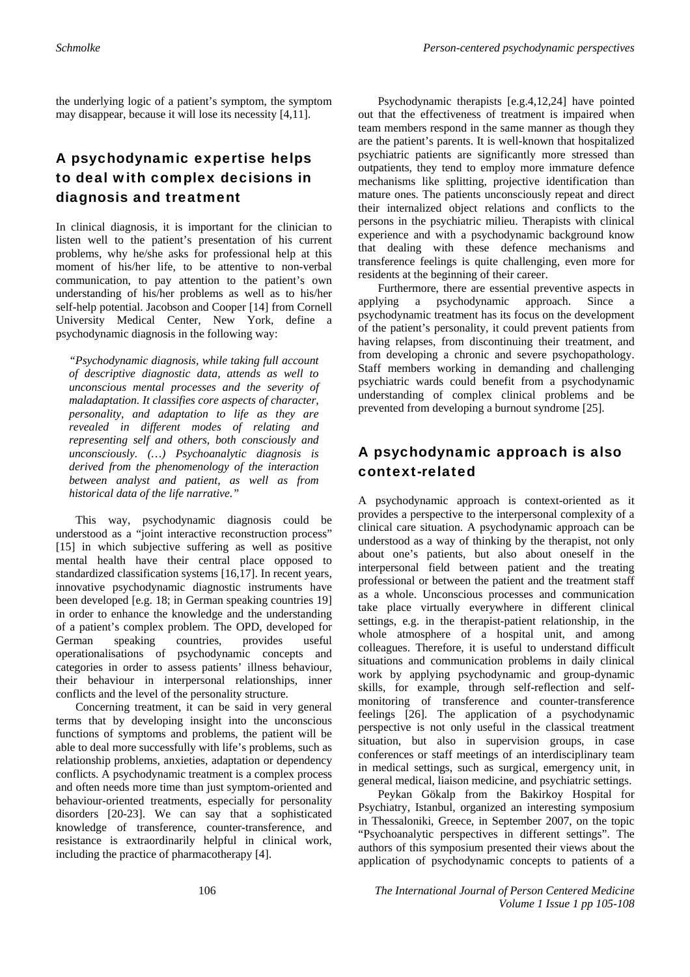the underlying logic of a patient's symptom, the symptom may disappear, because it will lose its necessity [4,11].

# A psychodynamic expertise helps to deal with complex decisions in diagnosis and treatment

In clinical diagnosis, it is important for the clinician to listen well to the patient's presentation of his current problems, why he/she asks for professional help at this moment of his/her life, to be attentive to non-verbal communication, to pay attention to the patient's own understanding of his/her problems as well as to his/her self-help potential. Jacobson and Cooper [14] from Cornell University Medical Center, New York, define a psychodynamic diagnosis in the following way:

*"Psychodynamic diagnosis, while taking full account of descriptive diagnostic data, attends as well to unconscious mental processes and the severity of maladaptation. It classifies core aspects of character, personality, and adaptation to life as they are revealed in different modes of relating and representing self and others, both consciously and unconsciously. (…) Psychoanalytic diagnosis is derived from the phenomenology of the interaction between analyst and patient, as well as from historical data of the life narrative."* 

This way, psychodynamic diagnosis could be understood as a "joint interactive reconstruction process" [15] in which subjective suffering as well as positive mental health have their central place opposed to standardized classification systems [16,17]. In recent years, innovative psychodynamic diagnostic instruments have been developed [e.g. 18; in German speaking countries 19] in order to enhance the knowledge and the understanding of a patient's complex problem. The OPD, developed for German speaking countries, provides useful operationalisations of psychodynamic concepts and categories in order to assess patients' illness behaviour, their behaviour in interpersonal relationships, inner conflicts and the level of the personality structure.

Concerning treatment, it can be said in very general terms that by developing insight into the unconscious functions of symptoms and problems, the patient will be able to deal more successfully with life's problems, such as relationship problems, anxieties, adaptation or dependency conflicts. A psychodynamic treatment is a complex process and often needs more time than just symptom-oriented and behaviour-oriented treatments, especially for personality disorders [20-23]. We can say that a sophisticated knowledge of transference, counter-transference, and resistance is extraordinarily helpful in clinical work, including the practice of pharmacotherapy [4].

Psychodynamic therapists [e.g.4,12,24] have pointed out that the effectiveness of treatment is impaired when team members respond in the same manner as though they are the patient's parents. It is well-known that hospitalized psychiatric patients are significantly more stressed than outpatients, they tend to employ more immature defence mechanisms like splitting, projective identification than mature ones. The patients unconsciously repeat and direct their internalized object relations and conflicts to the persons in the psychiatric milieu. Therapists with clinical experience and with a psychodynamic background know that dealing with these defence mechanisms and transference feelings is quite challenging, even more for residents at the beginning of their career.

Furthermore, there are essential preventive aspects in applying a psychodynamic approach. Since a psychodynamic treatment has its focus on the development of the patient's personality, it could prevent patients from having relapses, from discontinuing their treatment, and from developing a chronic and severe psychopathology. Staff members working in demanding and challenging psychiatric wards could benefit from a psychodynamic understanding of complex clinical problems and be prevented from developing a burnout syndrome [25].

# A psychodynamic approach is also context-related

A psychodynamic approach is context-oriented as it provides a perspective to the interpersonal complexity of a clinical care situation. A psychodynamic approach can be understood as a way of thinking by the therapist, not only about one's patients, but also about oneself in the interpersonal field between patient and the treating professional or between the patient and the treatment staff as a whole. Unconscious processes and communication take place virtually everywhere in different clinical settings, e.g. in the therapist-patient relationship, in the whole atmosphere of a hospital unit, and among colleagues. Therefore, it is useful to understand difficult situations and communication problems in daily clinical work by applying psychodynamic and group-dynamic skills, for example, through self-reflection and selfmonitoring of transference and counter-transference feelings [26]. The application of a psychodynamic perspective is not only useful in the classical treatment situation, but also in supervision groups, in case conferences or staff meetings of an interdisciplinary team in medical settings, such as surgical, emergency unit, in general medical, liaison medicine, and psychiatric settings.

Peykan Gökalp from the Bakirkoy Hospital for Psychiatry, Istanbul, organized an interesting symposium in Thessaloniki, Greece, in September 2007, on the topic "Psychoanalytic perspectives in different settings". The authors of this symposium presented their views about the application of psychodynamic concepts to patients of a

106 *The International Journal of Person Centered Medicine Volume 1 Issue 1 pp 105-108*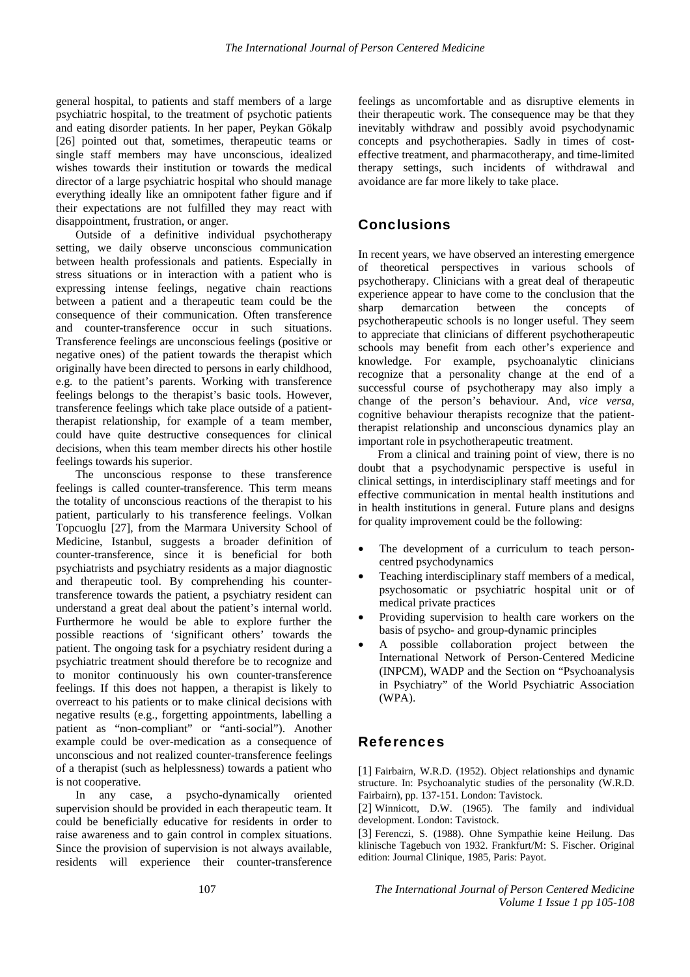general hospital, to patients and staff members of a large psychiatric hospital, to the treatment of psychotic patients and eating disorder patients. In her paper, Peykan Gökalp [26] pointed out that, sometimes, therapeutic teams or single staff members may have unconscious, idealized wishes towards their institution or towards the medical director of a large psychiatric hospital who should manage everything ideally like an omnipotent father figure and if their expectations are not fulfilled they may react with disappointment, frustration, or anger.

Outside of a definitive individual psychotherapy setting, we daily observe unconscious communication between health professionals and patients. Especially in stress situations or in interaction with a patient who is expressing intense feelings, negative chain reactions between a patient and a therapeutic team could be the consequence of their communication. Often transference and counter-transference occur in such situations. Transference feelings are unconscious feelings (positive or negative ones) of the patient towards the therapist which originally have been directed to persons in early childhood, e.g. to the patient's parents. Working with transference feelings belongs to the therapist's basic tools. However, transference feelings which take place outside of a patienttherapist relationship, for example of a team member, could have quite destructive consequences for clinical decisions, when this team member directs his other hostile feelings towards his superior.

The unconscious response to these transference feelings is called counter-transference. This term means the totality of unconscious reactions of the therapist to his patient, particularly to his transference feelings. Volkan Topcuoglu [27], from the Marmara University School of Medicine, Istanbul, suggests a broader definition of counter-transference, since it is beneficial for both psychiatrists and psychiatry residents as a major diagnostic and therapeutic tool. By comprehending his countertransference towards the patient, a psychiatry resident can understand a great deal about the patient's internal world. Furthermore he would be able to explore further the possible reactions of 'significant others' towards the patient. The ongoing task for a psychiatry resident during a psychiatric treatment should therefore be to recognize and to monitor continuously his own counter-transference feelings. If this does not happen, a therapist is likely to overreact to his patients or to make clinical decisions with negative results (e.g., forgetting appointments, labelling a patient as "non-compliant" or "anti-social"). Another example could be over-medication as a consequence of unconscious and not realized counter-transference feelings of a therapist (such as helplessness) towards a patient who is not cooperative.

In any case, a psycho-dynamically oriented supervision should be provided in each therapeutic team. It could be beneficially educative for residents in order to raise awareness and to gain control in complex situations. Since the provision of supervision is not always available, residents will experience their counter-transference feelings as uncomfortable and as disruptive elements in their therapeutic work. The consequence may be that they inevitably withdraw and possibly avoid psychodynamic concepts and psychotherapies. Sadly in times of costeffective treatment, and pharmacotherapy, and time-limited therapy settings, such incidents of withdrawal and avoidance are far more likely to take place.

### **Conclusions**

In recent years, we have observed an interesting emergence of theoretical perspectives in various schools of psychotherapy. Clinicians with a great deal of therapeutic experience appear to have come to the conclusion that the sharp demarcation between the concepts of psychotherapeutic schools is no longer useful. They seem to appreciate that clinicians of different psychotherapeutic schools may benefit from each other's experience and knowledge. For example, psychoanalytic clinicians recognize that a personality change at the end of a successful course of psychotherapy may also imply a change of the person's behaviour. And, *vice versa*, cognitive behaviour therapists recognize that the patienttherapist relationship and unconscious dynamics play an important role in psychotherapeutic treatment.

From a clinical and training point of view, there is no doubt that a psychodynamic perspective is useful in clinical settings, in interdisciplinary staff meetings and for effective communication in mental health institutions and in health institutions in general. Future plans and designs for quality improvement could be the following:

- The development of a curriculum to teach personcentred psychodynamics
- Teaching interdisciplinary staff members of a medical, psychosomatic or psychiatric hospital unit or of medical private practices
- Providing supervision to health care workers on the basis of psycho- and group-dynamic principles
- A possible collaboration project between the International Network of Person-Centered Medicine (INPCM), WADP and the Section on "Psychoanalysis in Psychiatry" of the World Psychiatric Association (WPA).

### References

[1] Fairbairn, W.R.D. (1952). Object relationships and dynamic structure. In: Psychoanalytic studies of the personality (W.R.D. Fairbairn), pp. 137-151. London: Tavistock.

[2] Winnicott, D.W. (1965). The family and individual development. London: Tavistock.

[3] Ferenczi, S. (1988). Ohne Sympathie keine Heilung. Das klinische Tagebuch von 1932. Frankfurt/M: S. Fischer. Original edition: Journal Clinique, 1985, Paris: Payot.

107 *The International Journal of Person Centered Medicine Volume 1 Issue 1 pp 105-108*